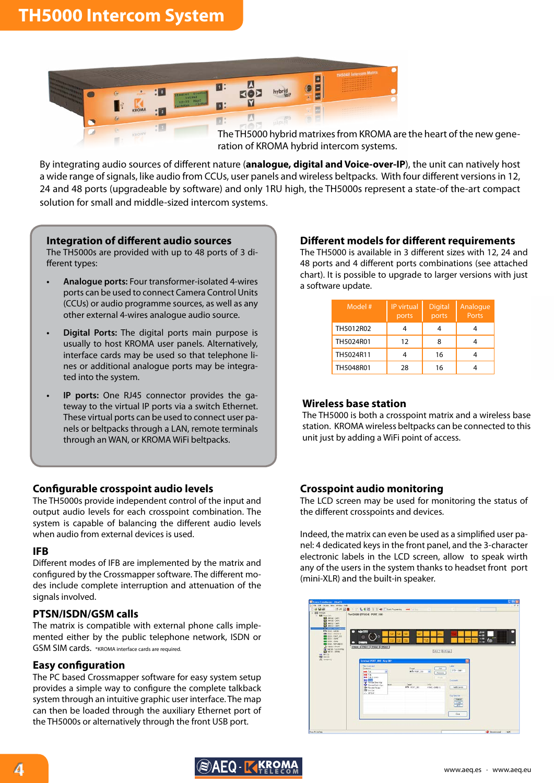

The TH5000 hybrid matrixes from KROMA are the heart of the new generation of KROMA hybrid intercom systems.

By integrating audio sources of different nature (**analogue, digital and Voice-over-IP**), the unit can natively host a wide range of signals, like audio from CCUs, user panels and wireless beltpacks. With four different versions in 12, 24 and 48 ports (upgradeable by software) and only 1RU high, the TH5000s represent a state-of the-art compact solution for small and middle-sized intercom systems.

#### **Integration of different audio sources**

The TH5000s are provided with up to 48 ports of 3 different types:

- **• Analogue ports:** Four transformer-isolated 4-wires ports can be used to connect Camera Control Units (CCUs) or audio programme sources, as well as any other external 4-wires analogue audio source.
- **Digital Ports:** The digital ports main purpose is usually to host KROMA user panels. Alternatively, interface cards may be used so that telephone lines or additional analogue ports may be integrated into the system.
- **IP** ports: One RJ45 connector provides the gateway to the virtual IP ports via a switch Ethernet. These virtual ports can be used to connect user panels or beltpacks through a LAN, remote terminals through an WAN, or KROMA WiFi beltpacks.

#### **Configurable crosspoint audio levels**

The TH5000s provide independent control of the input and output audio levels for each crosspoint combination. The system is capable of balancing the different audio levels when audio from external devices is used.

#### **IFB**

Different modes of IFB are implemented by the matrix and configured by the Crossmapper software. The different modes include complete interruption and attenuation of the signals involved.

#### **PTSN/ISDN/GSM calls**

The matrix is compatible with external phone calls implemented either by the public telephone network, ISDN or GSM SIM cards. \*KROMA interface cards are required.

#### **Easy configuration**

The PC based Crossmapper software for easy system setup provides a simple way to configure the complete talkback system through an intuitive graphic user interface. The map can then be loaded through the auxiliary Ethernet port of the TH5000s or alternatively through the front USB port.

#### **Different models for different requirements**

The TH5000 is available in 3 different sizes with 12, 24 and 48 ports and 4 different ports combinations (see attached chart). It is possible to upgrade to larger versions with just a software update.

| Model #   | IP virtual<br>ports | <b>Digital</b><br>ports | Analogue<br>Ports |
|-----------|---------------------|-------------------------|-------------------|
| TH5012R02 |                     |                         |                   |
| TH5024R01 | 12                  | 8                       |                   |
| TH5024R11 |                     | 16                      |                   |
| TH5048R01 | 28                  | 16                      |                   |

#### **Wireless base station**

The TH5000 is both a crosspoint matrix and a wireless base station. KROMA wireless beltpacks can be connected to this unit just by adding a WiFi point of access.

#### **Crosspoint audio monitoring**

The LCD screen may be used for monitoring the status of the different crosspoints and devices.

Indeed, the matrix can even be used as a simplified user panel: 4 dedicated keys in the front panel, and the 3-character electronic labels in the LCD screen, allow to speak wirth any of the users in the system thanks to headset front port (mini-XLR) and the built-in speaker.